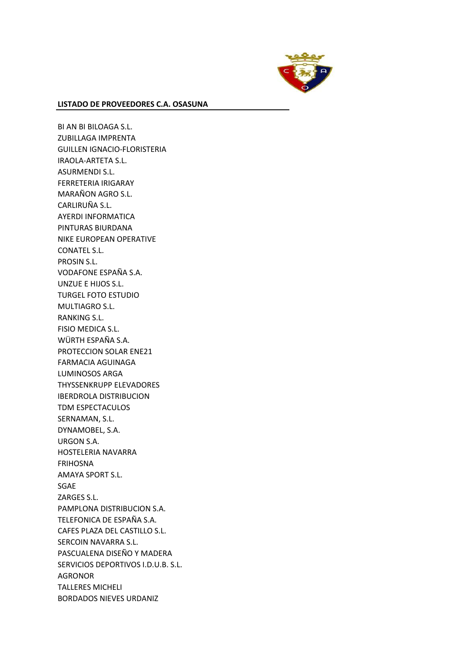

BI AN BI BILOAGA S.L. ZUBILLAGA IMPRENTA GUILLEN IGNACIO-FLORISTERIA IRAOLA-ARTETA S.L. ASURMENDI S.L. FERRETERIA IRIGARAY MARAÑON AGRO S.L. CARLIRUÑA S.L. AYERDI INFORMATICA PINTURAS BIURDANA NIKE EUROPEAN OPERATIVE CONATEL S.L. PROSIN S.L. VODAFONE ESPAÑA S.A. UNZUE E HIJOS S.L. TURGEL FOTO ESTUDIO MULTIAGRO S.L. RANKING S.L. FISIO MEDICA S.L. WÜRTH ESPAÑA S.A. PROTECCION SOLAR ENE21 FARMACIA AGUINAGA LUMINOSOS ARGA THYSSENKRUPP ELEVADORES IBERDROLA DISTRIBUCION TDM ESPECTACULOS SERNAMAN, S.L. DYNAMOBEL, S.A. URGON S.A. HOSTELERIA NAVARRA FRIHOSNA AMAYA SPORT S.L. SGAE ZARGES S.L. PAMPLONA DISTRIBUCION S.A. TELEFONICA DE ESPAÑA S.A. CAFES PLAZA DEL CASTILLO S.L. SERCOIN NAVARRA S.L. PASCUALENA DISEÑO Y MADERA SERVICIOS DEPORTIVOS I.D.U.B. S.L. AGRONOR TALLERES MICHELI BORDADOS NIEVES URDANIZ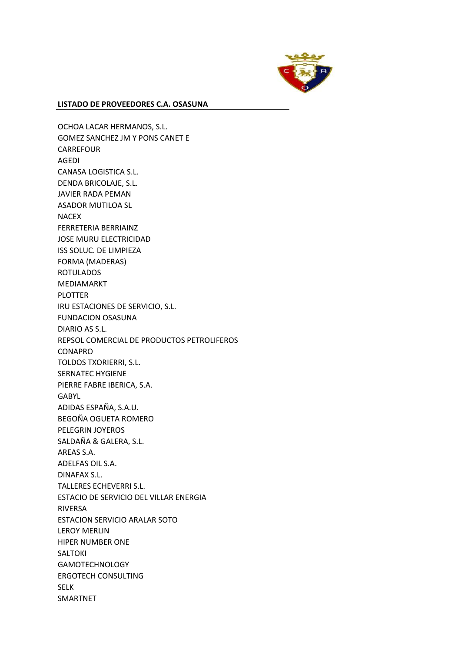

OCHOA LACAR HERMANOS, S.L. GOMEZ SANCHEZ JM Y PONS CANET E CARREFOUR AGEDI CANASA LOGISTICA S.L. DENDA BRICOLAJE, S.L. JAVIER RADA PEMAN ASADOR MUTILOA SL NACEX FERRETERIA BERRIAINZ JOSE MURU ELECTRICIDAD ISS SOLUC. DE LIMPIEZA FORMA (MADERAS) ROTULADOS MEDIAMARKT PLOTTER IRU ESTACIONES DE SERVICIO, S.L. FUNDACION OSASUNA DIARIO AS S.L. REPSOL COMERCIAL DE PRODUCTOS PETROLIFEROS CONAPRO TOLDOS TXORIERRI, S.L. SERNATEC HYGIENE PIERRE FABRE IBERICA, S.A. GABYL ADIDAS ESPAÑA, S.A.U. BEGOÑA OGUETA ROMERO PELEGRIN JOYEROS SALDAÑA & GALERA, S.L. AREAS S.A. ADELFAS OIL S.A. DINAFAX S.L. TALLERES ECHEVERRI S.L. ESTACIO DE SERVICIO DEL VILLAR ENERGIA RIVERSA ESTACION SERVICIO ARALAR SOTO LEROY MERLIN HIPER NUMBER ONE SALTOKI GAMOTECHNOLOGY ERGOTECH CONSULTING SELK SMARTNET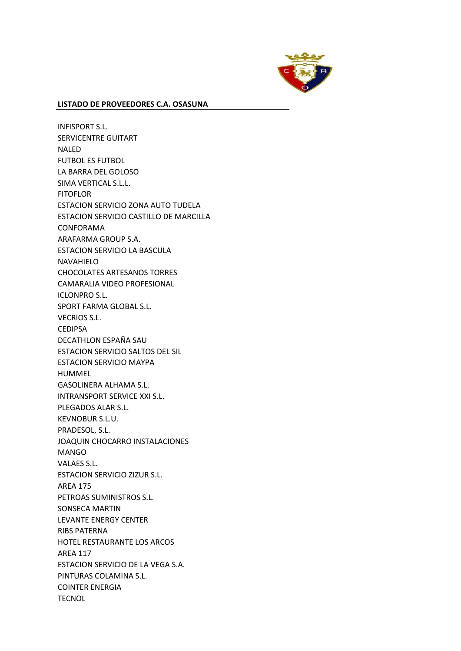

INFISPORT S.L. SERVICENTRE GUITART NALED FUTBOL ES FUTBOL LA BARRA DEL GOLOSO SIMA VERTICAL S.L.L. **FITOFLOR** ESTACION SERVICIO ZONA AUTO TUDELA ESTACION SERVICIO CASTILLO DE MARCILLA CONFORAMA ARAFARMA GROUP S.A. ESTACION SERVICIO LA BASCULA NAVAHIELO CHOCOLATES ARTESANOS TORRES CAMARALIA VIDEO PROFESIONAL ICLONPRO S.L. SPORT FARMA GLOBAL S.L. VECRIOS S.L. **CEDIPSA** DECATHLON ESPAÑA SAU ESTACION SERVICIO SALTOS DEL SIL ESTACION SERVICIO MAYPA HUMMEL GASOLINERA ALHAMA S.L. INTRANSPORT SERVICE XXI S.L. PLEGADOS ALAR S.L. KEVNOBUR S.L.U. PRADESOL, S.L. JOAQUIN CHOCARRO INSTALACIONES MANGO VALAES S.L. ESTACION SERVICIO ZIZUR S.L. AREA 175 PETROAS SUMINISTROS S.L. SONSECA MARTIN LEVANTE ENERGY CENTER RIBS PATERNA HOTEL RESTAURANTE LOS ARCOS AREA 117 ESTACION SERVICIO DE LA VEGA S.A. PINTURAS COLAMINA S.L. COINTER ENERGIA **TECNOL**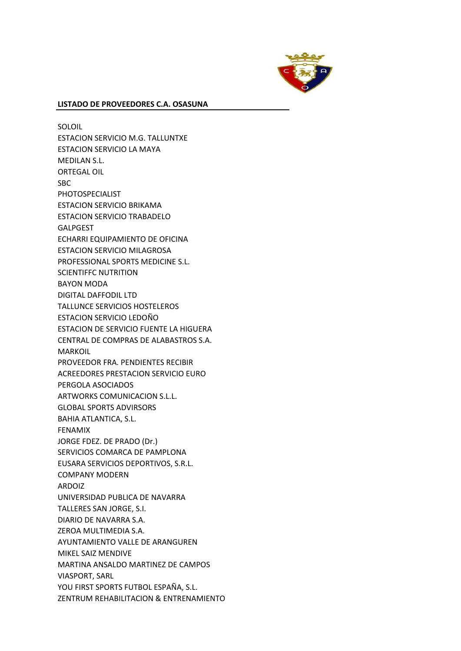

SOLOIL ESTACION SERVICIO M.G. TALLUNTXE ESTACION SERVICIO LA MAYA MEDILAN S.L. ORTEGAL OIL SBC PHOTOSPECIALIST ESTACION SERVICIO BRIKAMA ESTACION SERVICIO TRABADELO GALPGEST ECHARRI EQUIPAMIENTO DE OFICINA ESTACION SERVICIO MILAGROSA PROFESSIONAL SPORTS MEDICINE S.L. SCIENTIFFC NUTRITION BAYON MODA DIGITAL DAFFODIL LTD TALLUNCE SERVICIOS HOSTELEROS ESTACION SERVICIO LEDOÑO ESTACION DE SERVICIO FUENTE LA HIGUERA CENTRAL DE COMPRAS DE ALABASTROS S.A. MARKOIL PROVEEDOR FRA. PENDIENTES RECIBIR ACREEDORES PRESTACION SERVICIO EURO PERGOLA ASOCIADOS ARTWORKS COMUNICACION S.L.L. GLOBAL SPORTS ADVIRSORS BAHIA ATLANTICA, S.L. FENAMIX JORGE FDEZ. DE PRADO (Dr.) SERVICIOS COMARCA DE PAMPLONA EUSARA SERVICIOS DEPORTIVOS, S.R.L. COMPANY MODERN ARDOIZ UNIVERSIDAD PUBLICA DE NAVARRA TALLERES SAN JORGE, S.I. DIARIO DE NAVARRA S.A. ZEROA MULTIMEDIA S.A. AYUNTAMIENTO VALLE DE ARANGUREN MIKEL SAIZ MENDIVE MARTINA ANSALDO MARTINEZ DE CAMPOS VIASPORT, SARL YOU FIRST SPORTS FUTBOL ESPAÑA, S.L. ZENTRUM REHABILITACION & ENTRENAMIENTO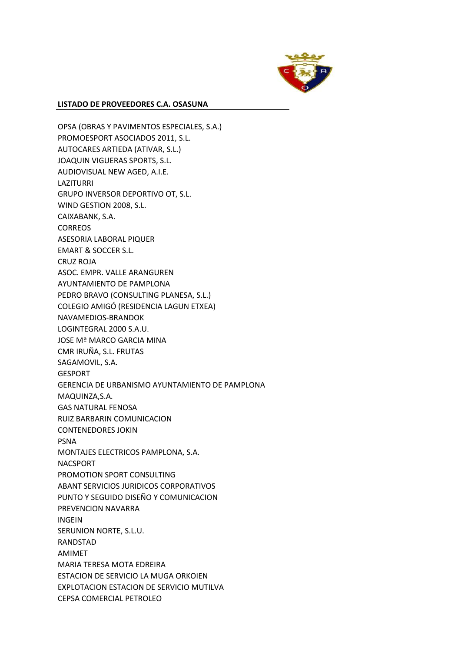

OPSA (OBRAS Y PAVIMENTOS ESPECIALES, S.A.) PROMOESPORT ASOCIADOS 2011, S.L. AUTOCARES ARTIEDA (ATIVAR, S.L.) JOAQUIN VIGUERAS SPORTS, S.L. AUDIOVISUAL NEW AGED, A.I.E. LAZITURRI GRUPO INVERSOR DEPORTIVO OT, S.L. WIND GESTION 2008, S.L. CAIXABANK, S.A. **CORREOS** ASESORIA LABORAL PIQUER EMART & SOCCER S.L. CRUZ ROJA ASOC. EMPR. VALLE ARANGUREN AYUNTAMIENTO DE PAMPLONA PEDRO BRAVO (CONSULTING PLANESA, S.L.) COLEGIO AMIGÓ (RESIDENCIA LAGUN ETXEA) NAVAMEDIOS-BRANDOK LOGINTEGRAL 2000 S.A.U. JOSE Mª MARCO GARCIA MINA CMR IRUÑA, S.L. FRUTAS SAGAMOVIL, S.A. GESPORT GERENCIA DE URBANISMO AYUNTAMIENTO DE PAMPLONA MAQUINZA,S.A. GAS NATURAL FENOSA RUIZ BARBARIN COMUNICACION CONTENEDORES JOKIN PSNA MONTAJES ELECTRICOS PAMPLONA, S.A. NACSPORT PROMOTION SPORT CONSULTING ABANT SERVICIOS JURIDICOS CORPORATIVOS PUNTO Y SEGUIDO DISEÑO Y COMUNICACION PREVENCION NAVARRA INGEIN SERUNION NORTE, S.L.U. RANDSTAD AMIMET MARIA TERESA MOTA EDREIRA ESTACION DE SERVICIO LA MUGA ORKOIEN EXPLOTACION ESTACION DE SERVICIO MUTILVA CEPSA COMERCIAL PETROLEO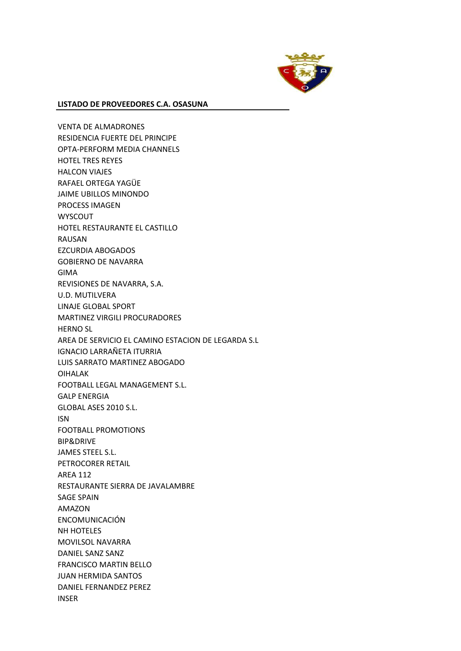

VENTA DE ALMADRONES RESIDENCIA FUERTE DEL PRINCIPE OPTA-PERFORM MEDIA CHANNELS HOTEL TRES REYES HALCON VIAJES RAFAEL ORTEGA YAGÜE JAIME UBILLOS MINONDO PROCESS IMAGEN WYSCOUT HOTEL RESTAURANTE EL CASTILLO RAUSAN EZCURDIA ABOGADOS GOBIERNO DE NAVARRA GIMA REVISIONES DE NAVARRA, S.A. U.D. MUTILVERA LINAJE GLOBAL SPORT MARTINEZ VIRGILI PROCURADORES HERNO SL AREA DE SERVICIO EL CAMINO ESTACION DE LEGARDA S.L IGNACIO LARRAÑETA ITURRIA LUIS SARRATO MARTINEZ ABOGADO OIHALAK FOOTBALL LEGAL MANAGEMENT S.L. GALP ENERGIA GLOBAL ASES 2010 S.L. ISN FOOTBALL PROMOTIONS BIP&DRIVE JAMES STEEL S.L. PETROCORER RETAIL AREA 112 RESTAURANTE SIERRA DE JAVALAMBRE SAGE SPAIN AMAZON ENCOMUNICACIÓN NH HOTELES MOVILSOL NAVARRA DANIEL SANZ SANZ FRANCISCO MARTIN BELLO JUAN HERMIDA SANTOS DANIEL FERNANDEZ PEREZ INSER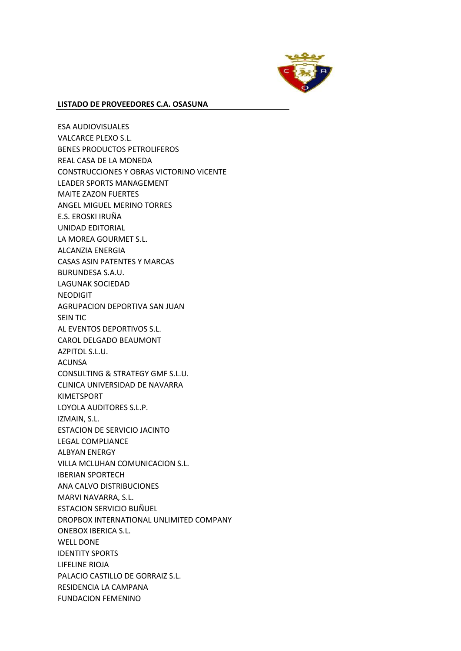

ESA AUDIOVISUALES VALCARCE PLEXO S.L. BENES PRODUCTOS PETROLIFEROS REAL CASA DE LA MONEDA CONSTRUCCIONES Y OBRAS VICTORINO VICENTE LEADER SPORTS MANAGEMENT MAITE ZAZON FUERTES ANGEL MIGUEL MERINO TORRES E.S. EROSKI IRUÑA UNIDAD EDITORIAL LA MOREA GOURMET S.L. ALCANZIA ENERGIA CASAS ASIN PATENTES Y MARCAS BURUNDESA S.A.U. LAGUNAK SOCIEDAD NEODIGIT AGRUPACION DEPORTIVA SAN JUAN SEIN TIC AL EVENTOS DEPORTIVOS S.L. CAROL DELGADO BEAUMONT AZPITOL S.L.U. ACUNSA CONSULTING & STRATEGY GMF S.L.U. CLINICA UNIVERSIDAD DE NAVARRA KIMETSPORT LOYOLA AUDITORES S.L.P. IZMAIN, S.L. ESTACION DE SERVICIO JACINTO LEGAL COMPLIANCE ALBYAN ENERGY VILLA MCLUHAN COMUNICACION S.L. IBERIAN SPORTECH ANA CALVO DISTRIBUCIONES MARVI NAVARRA, S.L. ESTACION SERVICIO BUÑUEL DROPBOX INTERNATIONAL UNLIMITED COMPANY ONEBOX IBERICA S.L. WELL DONE IDENTITY SPORTS LIFELINE RIOJA PALACIO CASTILLO DE GORRAIZ S.L. RESIDENCIA LA CAMPANA FUNDACION FEMENINO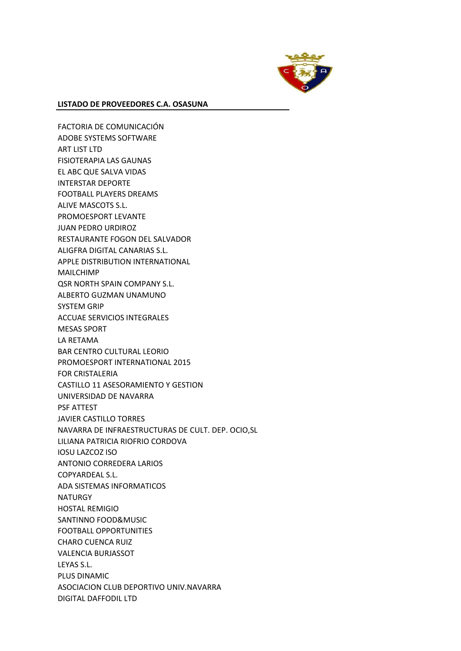

FACTORIA DE COMUNICACIÓN ADOBE SYSTEMS SOFTWARE ART LIST LTD FISIOTERAPIA LAS GAUNAS EL ABC QUE SALVA VIDAS INTERSTAR DEPORTE FOOTBALL PLAYERS DREAMS ALIVE MASCOTS S.L. PROMOESPORT LEVANTE JUAN PEDRO URDIROZ RESTAURANTE FOGON DEL SALVADOR ALIGFRA DIGITAL CANARIAS S.L. APPLE DISTRIBUTION INTERNATIONAL MAILCHIMP QSR NORTH SPAIN COMPANY S.L. ALBERTO GUZMAN UNAMUNO SYSTEM GRIP ACCUAE SERVICIOS INTEGRALES MESAS SPORT LA RETAMA BAR CENTRO CULTURAL LEORIO PROMOESPORT INTERNATIONAL 2015 FOR CRISTALERIA CASTILLO 11 ASESORAMIENTO Y GESTION UNIVERSIDAD DE NAVARRA PSF ATTEST JAVIER CASTILLO TORRES NAVARRA DE INFRAESTRUCTURAS DE CULT. DEP. OCIO,SL LILIANA PATRICIA RIOFRIO CORDOVA IOSU LAZCOZ ISO ANTONIO CORREDERA LARIOS COPYARDEAL S.L. ADA SISTEMAS INFORMATICOS NATURGY HOSTAL REMIGIO SANTINNO FOOD&MUSIC FOOTBALL OPPORTUNITIES CHARO CUENCA RUIZ VALENCIA BURJASSOT LEYAS S.L. PLUS DINAMIC ASOCIACION CLUB DEPORTIVO UNIV.NAVARRA DIGITAL DAFFODIL LTD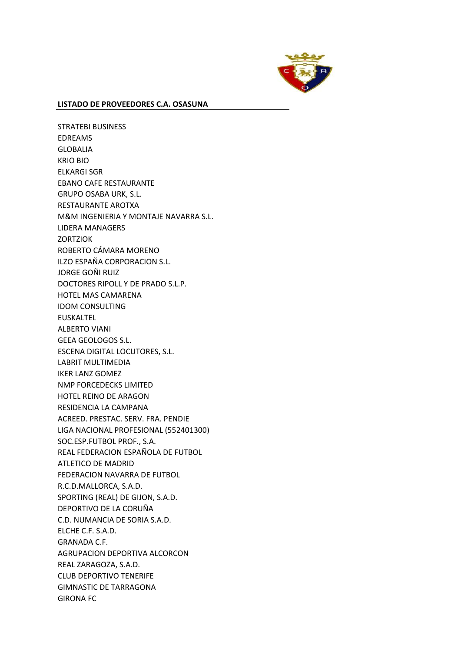

STRATEBI BUSINESS EDREAMS GLOBALIA KRIO BIO ELKARGI SGR EBANO CAFE RESTAURANTE GRUPO OSABA URK, S.L. RESTAURANTE AROTXA M&M INGENIERIA Y MONTAJE NAVARRA S.L. LIDERA MANAGERS **ZORTZIOK** ROBERTO CÁMARA MORENO ILZO ESPAÑA CORPORACION S.L. JORGE GOÑI RUIZ DOCTORES RIPOLL Y DE PRADO S.L.P. HOTEL MAS CAMARENA IDOM CONSULTING EUSKALTEL ALBERTO VIANI GEEA GEOLOGOS S.L. ESCENA DIGITAL LOCUTORES, S.L. LABRIT MULTIMEDIA IKER LANZ GOMEZ NMP FORCEDECKS LIMITED HOTEL REINO DE ARAGON RESIDENCIA LA CAMPANA ACREED. PRESTAC. SERV. FRA. PENDIE LIGA NACIONAL PROFESIONAL (552401300) SOC.ESP.FUTBOL PROF., S.A. REAL FEDERACION ESPAÑOLA DE FUTBOL ATLETICO DE MADRID FEDERACION NAVARRA DE FUTBOL R.C.D.MALLORCA, S.A.D. SPORTING (REAL) DE GIJON, S.A.D. DEPORTIVO DE LA CORUÑA C.D. NUMANCIA DE SORIA S.A.D. ELCHE C.F. S.A.D. GRANADA C.F. AGRUPACION DEPORTIVA ALCORCON REAL ZARAGOZA, S.A.D. CLUB DEPORTIVO TENERIFE GIMNASTIC DE TARRAGONA GIRONA FC